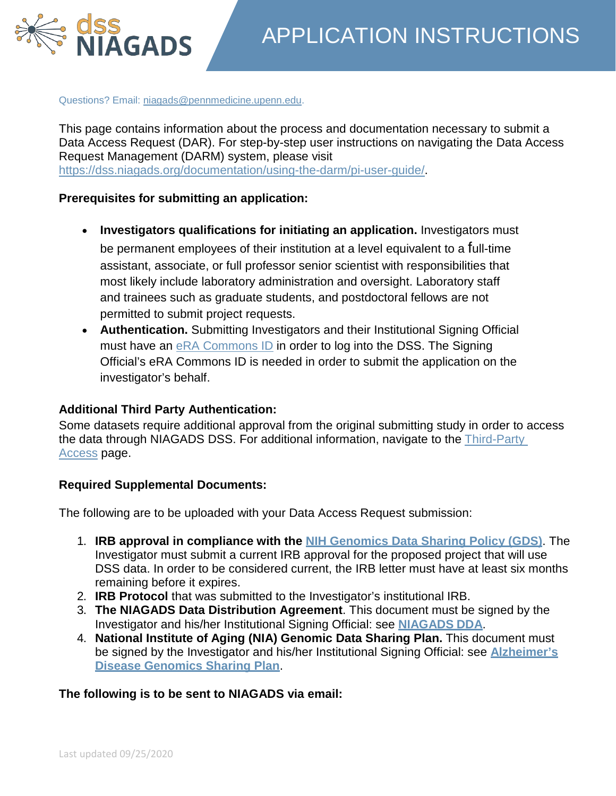

Questions? Email: [niagads@pennmedicine.upenn.edu.](mailto:niagads@pennmedicine.upenn.edu)

This page contains information about the process and documentation necessary to submit a Data Access Request (DAR). For step-by-step user instructions on navigating the Data Access Request Management (DARM) system, please visit [https://dss.niagads.org/documentation/using-the-darm/pi-user-guide/.](https://dss.niagads.org/documentation/using-the-darm/pi-user-guide/)

## **Prerequisites for submitting an application:**

- **Investigators qualifications for initiating an application.** Investigators must be permanent employees of their institution at a level equivalent to a full-time assistant, associate, or full professor senior scientist with responsibilities that most likely include laboratory administration and oversight. Laboratory staff and trainees such as graduate students, and postdoctoral fellows are not permitted to submit project requests.
- **Authentication.** Submitting Investigators and their Institutional Signing Official must have an [eRA Commons ID](https://era.nih.gov/registration_accounts.cfm) in order to log into the DSS. The Signing Official's eRA Commons ID is needed in order to submit the application on the investigator's behalf.

# **Additional Third Party Authentication:**

Some datasets require additional approval from the original submitting study in order to access the data through NIAGADS DSS. For additional information, navigate to the [Third-Party](https://dss.niagads.org/documentation/applying-for-data/third-party-access/) [Access](https://dss.niagads.org/documentation/applying-for-data/third-party-access/) page.

# **Required Supplemental Documents:**

The following are to be uploaded with your Data Access Request submission:

- 1. **IRB approval in compliance with the [NIH Genomics Data Sharing Policy \(GDS\)](http://gds.nih.gov/)**. The Investigator must submit a current IRB approval for the proposed project that will use DSS data. In order to be considered current, the IRB letter must have at least six months remaining before it expires.
- 2. **IRB Protocol** that was submitted to the Investigator's institutional IRB.
- 3. **The NIAGADS Data Distribution Agreement**. This document must be signed by the Investigator and his/her Institutional Signing Official: see **[NIAGADS](https://www.niagads.org/sites/all/public_files/NIAGADS-DDA.pdf) DDA**.
- 4. **National Institute of Aging (NIA) Genomic Data Sharing Plan.** This document must be signed by the Investigator and his/her Institutional Signing Official: see **[Alzheimer's](https://www.nia.nih.gov/research/dn/alzheimers-disease-genomics-sharing-plan) [Disease Genomics Sharing](https://www.nia.nih.gov/research/dn/alzheimers-disease-genomics-sharing-plan) Plan**.

# **The following is to be sent to NIAGADS via email:**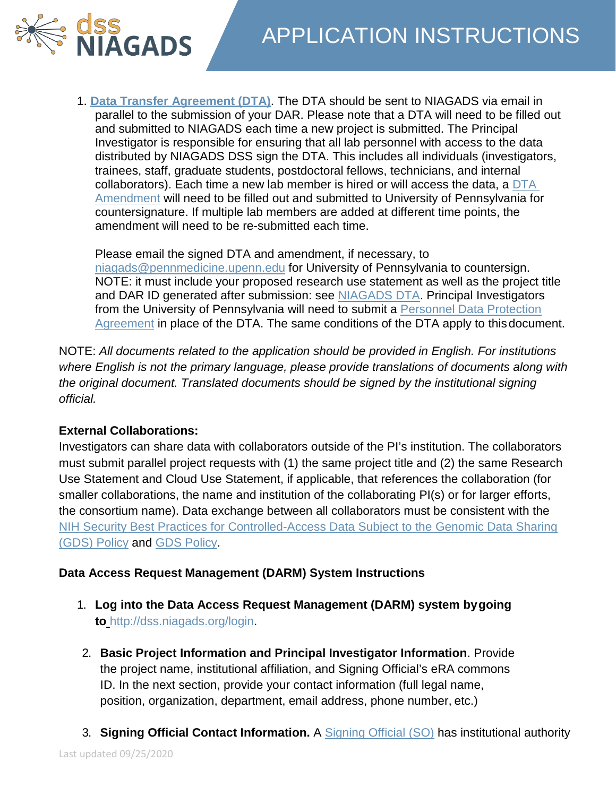



1. **[Data Transfer Agreement \(DTA\)](https://dss.niagads.org/wp-content/uploads/2018/08/NIAGADS-DSS-DTA.pdf)**. The DTA should be sent to NIAGADS via email in parallel to the submission of your DAR. Please note that a DTA will need to be filled out and submitted to NIAGADS each time a new project is submitted. The Principal Investigator is responsible for ensuring that all lab personnel with access to the data distributed by NIAGADS DSS sign the DTA. This includes all individuals (investigators, trainees, staff, graduate students, postdoctoral fellows, technicians, and internal collaborators). Each time a new lab member is hired or will access the data, a [DTA](https://www.niagads.org/sites/all/public_files/NIAGADS-DSS-DTA-amendment.docx)  [Amendment](https://www.niagads.org/sites/all/public_files/NIAGADS-DSS-DTA-amendment.docx) will need to be filled out and submitted to University of Pennsylvania for countersignature. If multiple lab members are added at different time points, the amendment will need to be re-submitted each time.

Please email the signed DTA and amendment, if necessary, to [niagads@pennmedicine.upenn.edu](mailto:niagads@pennmedicine.upenn.edu) for University of Pennsylvania to countersign. NOTE: it must include your proposed research use statement as well as the project title and DAR ID generated after submission: see [NIAGADS DTA.](https://dss.niagads.org/wp-content/uploads/2018/08/NIAGADS-DSS-DTA.pdf) Principal Investigators from the University of Pennsylvania will need to submit a [Personnel Data Protection](https://www.niagads.org/sites/all/public_files/DSS-UPenn-Personnel-Data-Protection-Agreement.docx) [Agreement](https://www.niagads.org/sites/all/public_files/DSS-UPenn-Personnel-Data-Protection-Agreement.docx) in place of the DTA. The same conditions of the DTA apply to thisdocument.

NOTE: *All documents related to the application should be provided in English. For institutions where English is not the primary language, please provide translations of documents along with the original document. Translated documents should be signed by the institutional signing official.*

# **External Collaborations:**

Investigators can share data with collaborators outside of the PI's institution. The collaborators must submit parallel project requests with (1) the same project title and (2) the same Research Use Statement and Cloud Use Statement, if applicable, that references the collaboration (for smaller collaborations, the name and institution of the collaborating PI(s) or for larger efforts, the consortium name). Data exchange between all collaborators must be consistent with the [NIH Security Best Practices for Controlled-Access Data Subject to the Genomic Data Sharing](https://osp.od.nih.gov/wp-content/uploads/NIH_Best_Practices_for_Controlled-Access_Data_Subject_to_the_NIH_GDS_Policy.pdf) [\(GDS\) Policy](https://osp.od.nih.gov/wp-content/uploads/NIH_Best_Practices_for_Controlled-Access_Data_Subject_to_the_NIH_GDS_Policy.pdf) and [GDS Policy.](https://osp.od.nih.gov/scientific-sharing/genomic-data-sharing/)

# **Data Access Request Management (DARM) System Instructions**

- 1. **Log into the Data Access Request Management (DARM) system bygoing to** [http://dss.niagads.org/login.](http://dss.niagads.org/)
- 2. **Basic Project Information and Principal Investigator Information**. Provide the project name, institutional affiliation, and Signing Official's eRA commons ID. In the next section, provide your contact information (full legal name, position, organization, department, email address, phone number, etc.)
- 3. **Signing Official Contact Information.** A [Signing Official \(SO\)](https://grants.nih.gov/grants/glossary.htm) has institutional authority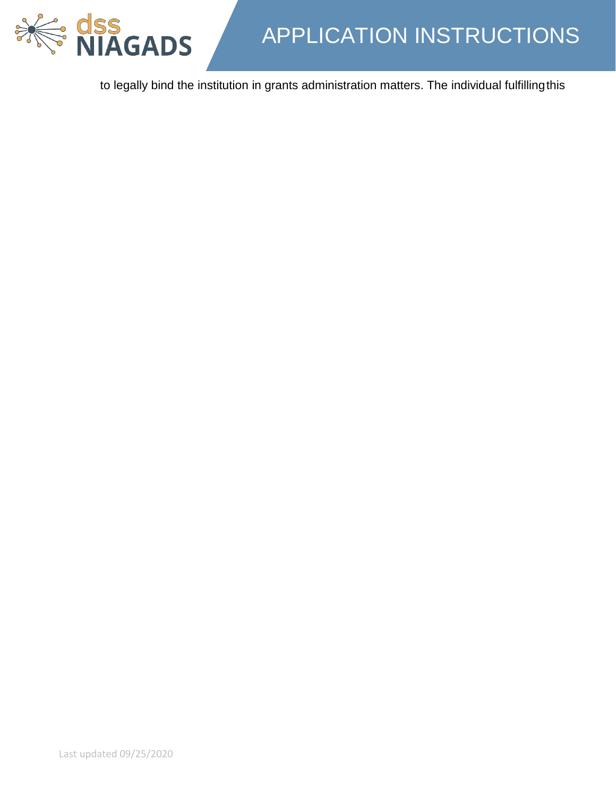

to legally bind the institution in grants administration matters. The individual fulfillingthis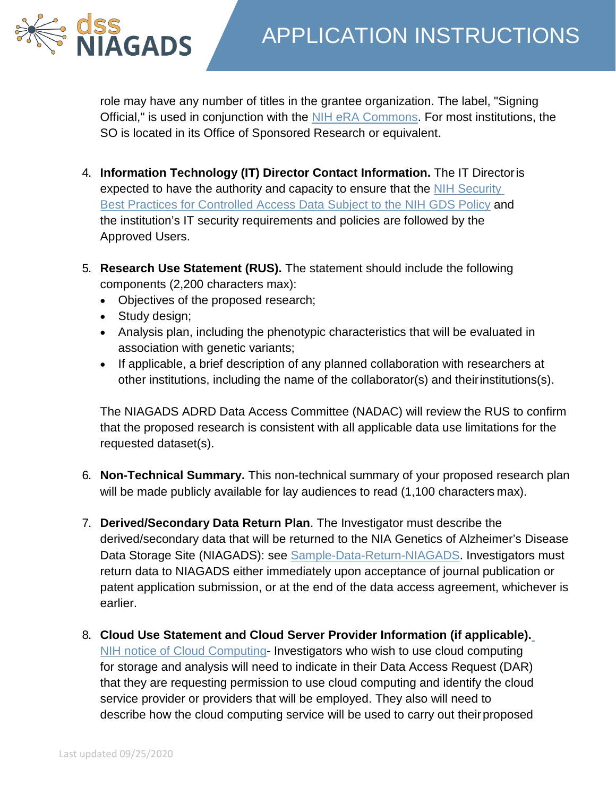role may have any number of titles in the grantee organization. The label, "Signing Official," is used in conjunction with the [NIH eRA Commons.](https://era.nih.gov/) For most institutions, the SO is located in its Office of Sponsored Research or equivalent.

- 4. **Information Technology (IT) Director Contact Information.** The IT Directoris expected to have the authority and capacity to ensure that the [NIH Security](https://osp.od.nih.gov/wp-content/uploads/NIH_Best_Practices_for_Controlled-Access_Data_Subject_to_the_NIH_GDS_Policy.pdf) [Best Practices for Controlled Access Data Subject to the NIH GDS Policy](https://osp.od.nih.gov/wp-content/uploads/NIH_Best_Practices_for_Controlled-Access_Data_Subject_to_the_NIH_GDS_Policy.pdf) and the institution's IT security requirements and policies are followed by the Approved Users.
- 5. **Research Use Statement (RUS).** The statement should include the following components (2,200 characters max):
	- Objectives of the proposed research;
	- Study design;

**dss<br>NIAGADS** 

- Analysis plan, including the phenotypic characteristics that will be evaluated in association with genetic variants;
- If applicable, a brief description of any planned collaboration with researchers at other institutions, including the name of the collaborator(s) and theirinstitutions(s).

The NIAGADS ADRD Data Access Committee (NADAC) will review the RUS to confirm that the proposed research is consistent with all applicable data use limitations for the requested dataset(s).

- 6. **Non-Technical Summary.** This non-technical summary of your proposed research plan will be made publicly available for lay audiences to read (1,100 characters max).
- 7. **Derived/Secondary Data Return Plan**. The Investigator must describe the derived/secondary data that will be returned to the NIA Genetics of Alzheimer's Disease Data Storage Site (NIAGADS): see [Sample-Data-Return-NIAGADS.](https://www.niagads.org/sites/all/public_files/Sample-Data-Return-NIAGADS.doc) Investigators must return data to NIAGADS either immediately upon acceptance of journal publication or patent application submission, or at the end of the data access agreement, whichever is earlier.
- 8. **Cloud Use Statement and Cloud Server Provider Information (if applicable).** [NIH notice of Cloud Computing-](https://grants.nih.gov/grants/guide/notice-files/NOT-OD-15-086.html) Investigators who wish to use cloud computing for storage and analysis will need to indicate in their Data Access Request (DAR) that they are requesting permission to use cloud computing and identify the cloud service provider or providers that will be employed. They also will need to describe how the cloud computing service will be used to carry out their proposed